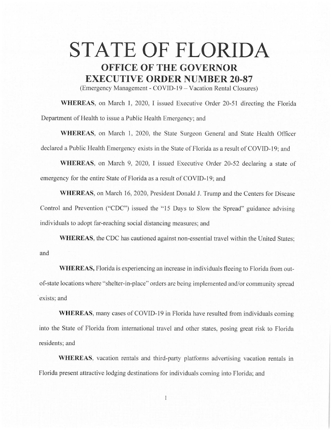## **STATE OF FLORIDA OFFICE OF THE GOVERNOR EXECUTIVE ORDER NUMBER 20-87**

(Emergency Management - COVID-19 - Vacation Rental Closures)

**WHEREAS,** on March 1, 2020, I issued Executive Order 20-51 directing the Florida Department of Health to issue a Public Health Emergency; and

**WHEREAS,** on March 1, 2020, the State Surgeon General and State Health Officer declared a Public Health Emergency exists in the State of Florida as a result of COVID-19; and

**WHEREAS,** on March 9, 2020, I issued Executive Order 20-52 declaring a state of emergency for the entire State of Florida as a result of COVID-19; and

**WHEREAS,** on March 16, 2020, President Donald J. Trump and the Centers for Disease Control and Prevention ("CDC") issued the "15 Days to Slow the Spread" guidance advising individuals to adopt far-reaching social distancing measures; and

**WHEREAS,** the CDC has cautioned against non-essential travel within the United States; and

**WHEREAS,** Florida is experiencing an increase in individuals fleeing to Florida from outof-state locations where "shelter-in-place" orders are being implemented and/or community spread exists; and

**WHEREAS,** many cases of COVID-19 in Florida have resulted from individuals coming into the State of Florida from international travel and other states, posing great risk to Florida residents; and

**WHEREAS,** vacation rentals and third-party platforms advertising vacation rentals in Florida present attractive lodging destinations for individuals coming into Florida; and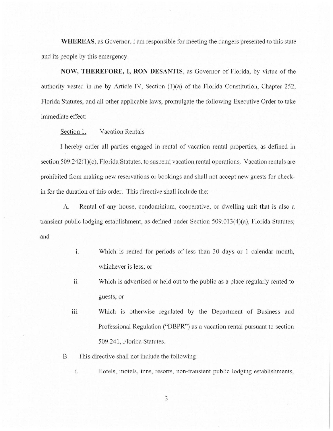**WHEREAS,** as Governor, I am responsible for meeting the dangers presented to this state and its people by this emergency.

**NOW, THEREFORE, I, RON DESANTIS,** as Governor of Florida, by virtue of the authority vested in me by Article IV, Section  $(1)(a)$  of the Florida Constitution, Chapter 252, Florida Statutes, and all other applicable laws, promulgate the following Executive Order to take immediate effect:

Section 1. Vacation Rentals

I hereby order all parties engaged in rental of vacation rental properties, as defined in section 509.242(1)(c), Florida Statutes, to suspend vacation rental operations. Vacation rentals are prohibited from making new reservations or bookings and shall not accept new guests for checkin for the duration of this order. This directive shall include the:

A. Rental of any house, condominium, cooperative, or dwelling unit that is also a transient public lodging establishment, as defined under Section 509.013(4)(a), Florida Statutes; and

- 1. Which is rented for periods of less than 30 days or 1 calendar month, whichever is less; or
- ii. Which is advertised or held out to the public as a place regularly rented to guests; or
- iii. Which is otherwise regulated by the Department of Business and Professional Regulation ("DBPR") as a vacation rental pursuant to section 509 .241, Florida Statutes.
- B. This directive shall not include the following:
	- i. Hotels, motels, inns, resorts, non-transient public lodging establishments,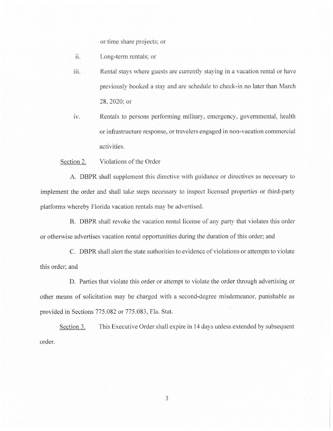or time share projects; or

- ii. Long-term rentals; or
- iii. Rental stays where guests are currently staying in a vacation rental or have previously booked a stay and are schedule to check-in no later than March 28, 2020; or
- iv. Rentals to persons performing military, emergency, governmental, health or infrastructure response, or travelers engaged in non-vacation commercial activities.

Section 2. Violations of the Order

A. DBPR shall supplement this directive with guidance or directives as necessary to implement the order and shall take steps necessary to inspect licensed properties or third-party platforms whereby Florida vacation rentals may be advertised.

B. DBPR shall revoke the vacation rental license of any party that violates this order or otherwise advertises vacation rental opportunities during the duration of this order; and

C. DBPR shall alert the state authorities to evidence of violations or attempts to violate this order; and

D. Parties that violate this order or attempt to violate the order through advertising or other means of solicitation may be charged with a second-degree misdemeanor, punishable as provided in Sections 775.082 or 775.083, Fla. Stat.

Section 3. This Executive Order shall expire in 14 days unless extended by subsequent order.

3